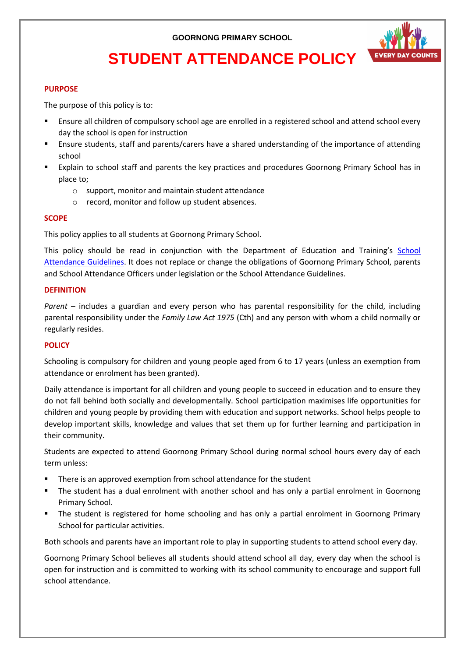

# **STUDENT ATTENDANCE POLICY**

#### **PURPOSE**

The purpose of this policy is to:

- Ensure all children of compulsory school age are enrolled in a registered school and attend school every day the school is open for instruction
- Ensure students, staff and parents/carers have a shared understanding of the importance of attending school
- Explain to school staff and parents the key practices and procedures Goornong Primary School has in place to;
	- o support, monitor and maintain student attendance
	- o record, monitor and follow up student absences.

#### **SCOPE**

This policy applies to all students at Goornong Primary School.

This policy should be read in conjunction with the Department of Education and Training's [School](https://www2.education.vic.gov.au/pal/attendance/guidance)  [Attendance Guidelines.](https://www2.education.vic.gov.au/pal/attendance/guidance) It does not replace or change the obligations of Goornong Primary School, parents and School Attendance Officers under legislation or the School Attendance Guidelines.

#### **DEFINITION**

*Parent* – includes a guardian and every person who has parental responsibility for the child, including parental responsibility under the *Family Law Act 1975* (Cth) and any person with whom a child normally or regularly resides.

#### **POLICY**

Schooling is compulsory for children and young people aged from 6 to 17 years (unless an exemption from attendance or enrolment has been granted).

Daily attendance is important for all children and young people to succeed in education and to ensure they do not fall behind both socially and developmentally. School participation maximises life opportunities for children and young people by providing them with education and support networks. School helps people to develop important skills, knowledge and values that set them up for further learning and participation in their community.

Students are expected to attend Goornong Primary School during normal school hours every day of each term unless:

- There is an approved exemption from school attendance for the student
- The student has a dual enrolment with another school and has only a partial enrolment in Goornong Primary School.
- The student is registered for home schooling and has only a partial enrolment in Goornong Primary School for particular activities.

Both schools and parents have an important role to play in supporting students to attend school every day.

Goornong Primary School believes all students should attend school all day, every day when the school is open for instruction and is committed to working with its school community to encourage and support full school attendance.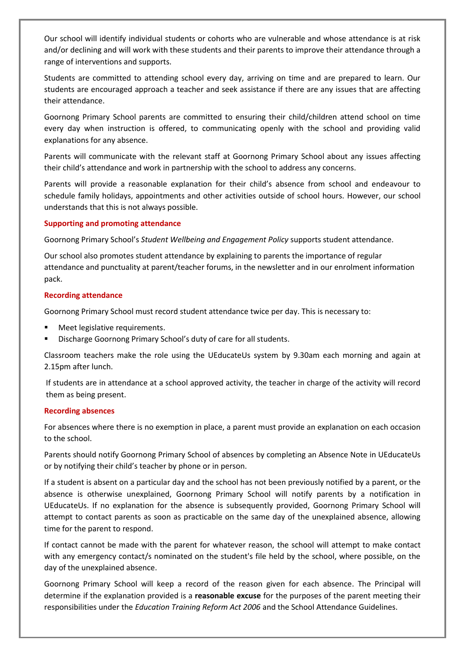Our school will identify individual students or cohorts who are vulnerable and whose attendance is at risk and/or declining and will work with these students and their parents to improve their attendance through a range of interventions and supports.

Students are committed to attending school every day, arriving on time and are prepared to learn. Our students are encouraged approach a teacher and seek assistance if there are any issues that are affecting their attendance.

Goornong Primary School parents are committed to ensuring their child/children attend school on time every day when instruction is offered, to communicating openly with the school and providing valid explanations for any absence.

Parents will communicate with the relevant staff at Goornong Primary School about any issues affecting their child's attendance and work in partnership with the school to address any concerns.

Parents will provide a reasonable explanation for their child's absence from school and endeavour to schedule family holidays, appointments and other activities outside of school hours. However, our school understands that this is not always possible.

#### **Supporting and promoting attendance**

Goornong Primary School's *Student Wellbeing and Engagement Policy* supports student attendance.

Our school also promotes student attendance by explaining to parents the importance of regular attendance and punctuality at parent/teacher forums, in the newsletter and in our enrolment information pack.

#### **Recording attendance**

Goornong Primary School must record student attendance twice per day. This is necessary to:

- Meet legislative requirements.
- Discharge Goornong Primary School's duty of care for all students.

Classroom teachers make the role using the UEducateUs system by 9.30am each morning and again at 2.15pm after lunch.

If students are in attendance at a school approved activity, the teacher in charge of the activity will record them as being present.

#### **Recording absences**

For absences where there is no exemption in place, a parent must provide an explanation on each occasion to the school.

Parents should notify Goornong Primary School of absences by completing an Absence Note in UEducateUs or by notifying their child's teacher by phone or in person.

If a student is absent on a particular day and the school has not been previously notified by a parent, or the absence is otherwise unexplained, Goornong Primary School will notify parents by a notification in UEducateUs. If no explanation for the absence is subsequently provided, Goornong Primary School will attempt to contact parents as soon as practicable on the same day of the unexplained absence, allowing time for the parent to respond.

If contact cannot be made with the parent for whatever reason, the school will attempt to make contact with any emergency contact/s nominated on the student's file held by the school, where possible, on the day of the unexplained absence.

Goornong Primary School will keep a record of the reason given for each absence. The Principal will determine if the explanation provided is a **reasonable excuse** for the purposes of the parent meeting their responsibilities under the *Education Training Reform Act 2006* and the School Attendance Guidelines.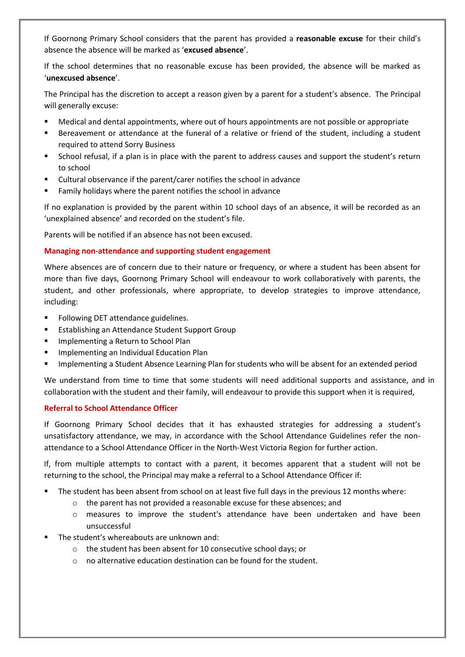If Goornong Primary School considers that the parent has provided a **reasonable excuse** for their child's absence the absence will be marked as '**excused absence**'.

If the school determines that no reasonable excuse has been provided, the absence will be marked as '**unexcused absence**'.

The Principal has the discretion to accept a reason given by a parent for a student's absence. The Principal will generally excuse:

- Medical and dental appointments, where out of hours appointments are not possible or appropriate
- Bereavement or attendance at the funeral of a relative or friend of the student, including a student required to attend Sorry Business
- School refusal, if a plan is in place with the parent to address causes and support the student's return to school
- Cultural observance if the parent/carer notifies the school in advance
- Family holidays where the parent notifies the school in advance

If no explanation is provided by the parent within 10 school days of an absence, it will be recorded as an 'unexplained absence' and recorded on the student's file.

Parents will be notified if an absence has not been excused.

#### **Managing non-attendance and supporting student engagement**

Where absences are of concern due to their nature or frequency, or where a student has been absent for more than five days, Goornong Primary School will endeavour to work collaboratively with parents, the student, and other professionals, where appropriate, to develop strategies to improve attendance, including:

- Following DET attendance guidelines.
- **Establishing an Attendance Student Support Group**
- **Implementing a Return to School Plan**
- Implementing an Individual Education Plan
- Implementing a Student Absence Learning Plan for students who will be absent for an extended period

We understand from time to time that some students will need additional supports and assistance, and in collaboration with the student and their family, will endeavour to provide this support when it is required,

#### **Referral to School Attendance Officer**

If Goornong Primary School decides that it has exhausted strategies for addressing a student's unsatisfactory attendance, we may, in accordance with the School Attendance Guidelines refer the nonattendance to a School Attendance Officer in the North-West Victoria Region for further action.

If, from multiple attempts to contact with a parent, it becomes apparent that a student will not be returning to the school, the Principal may make a referral to a School Attendance Officer if:

- The student has been absent from school on at least five full days in the previous 12 months where:
	- o the parent has not provided a reasonable excuse for these absences; and
	- o measures to improve the student's attendance have been undertaken and have been unsuccessful
- The student's whereabouts are unknown and:
	- o the student has been absent for 10 consecutive school days; or
	- o no alternative education destination can be found for the student.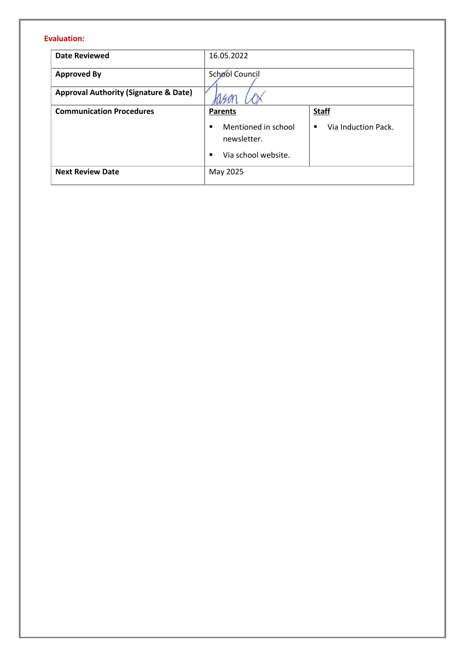### **Evaluation:**

| <b>Date Reviewed</b>                             | 16.05.2022                                                |                                       |
|--------------------------------------------------|-----------------------------------------------------------|---------------------------------------|
| <b>Approved By</b>                               | School Council                                            |                                       |
| <b>Approval Authority (Signature &amp; Date)</b> |                                                           |                                       |
| <b>Communication Procedures</b>                  | <b>Parents</b>                                            | <b>Staff</b>                          |
|                                                  | Mentioned in school<br>newsletter.<br>Via school website. | Via Induction Pack.<br>$\blacksquare$ |
| <b>Next Review Date</b>                          | May 2025                                                  |                                       |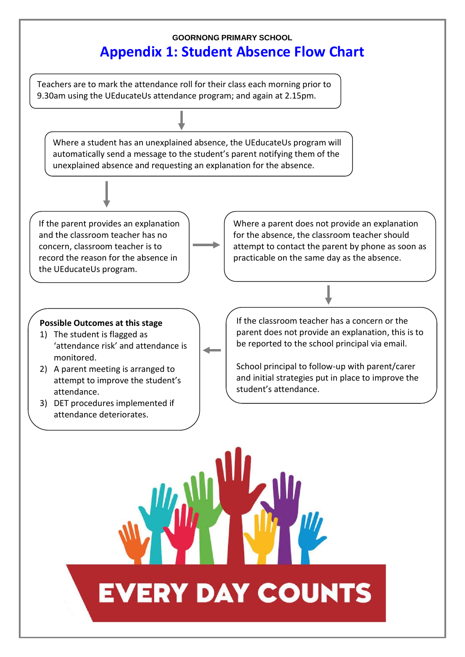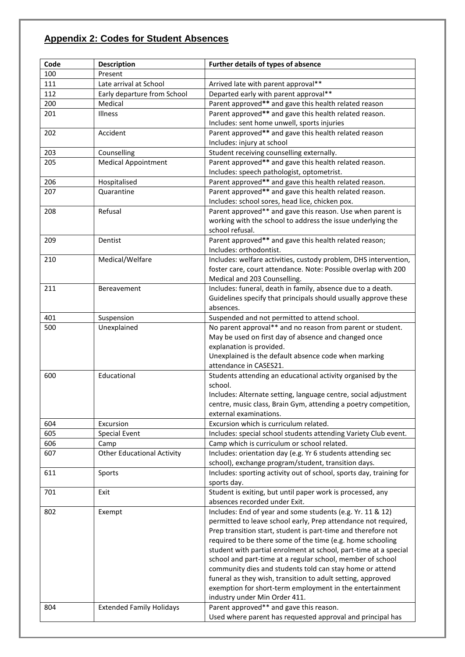## **Appendix 2: Codes for Student Absences**

| Code | <b>Description</b>                | Further details of types of absence                                                                                     |  |
|------|-----------------------------------|-------------------------------------------------------------------------------------------------------------------------|--|
| 100  | Present                           |                                                                                                                         |  |
| 111  | Late arrival at School            | Arrived late with parent approval**                                                                                     |  |
| 112  | Early departure from School       | Departed early with parent approval**                                                                                   |  |
| 200  | Medical                           | Parent approved** and gave this health related reason                                                                   |  |
| 201  | Illness                           | Parent approved** and gave this health related reason.                                                                  |  |
|      |                                   | Includes: sent home unwell, sports injuries                                                                             |  |
| 202  | Accident                          | Parent approved** and gave this health related reason                                                                   |  |
|      |                                   | Includes: injury at school                                                                                              |  |
| 203  | Counselling                       | Student receiving counselling externally.                                                                               |  |
| 205  | <b>Medical Appointment</b>        | Parent approved** and gave this health related reason.                                                                  |  |
|      |                                   | Includes: speech pathologist, optometrist.                                                                              |  |
| 206  | Hospitalised                      | Parent approved** and gave this health related reason.                                                                  |  |
| 207  | Quarantine                        | Parent approved** and gave this health related reason.                                                                  |  |
|      |                                   | Includes: school sores, head lice, chicken pox.                                                                         |  |
| 208  | Refusal                           | Parent approved** and gave this reason. Use when parent is                                                              |  |
|      |                                   | working with the school to address the issue underlying the                                                             |  |
|      |                                   | school refusal.                                                                                                         |  |
| 209  | Dentist                           | Parent approved** and gave this health related reason;                                                                  |  |
|      |                                   | Includes: orthodontist.                                                                                                 |  |
| 210  | Medical/Welfare                   | Includes: welfare activities, custody problem, DHS intervention,                                                        |  |
|      |                                   | foster care, court attendance. Note: Possible overlap with 200                                                          |  |
| 211  | Bereavement                       | Medical and 203 Counselling.<br>Includes: funeral, death in family, absence due to a death.                             |  |
|      |                                   | Guidelines specify that principals should usually approve these                                                         |  |
|      |                                   | absences.                                                                                                               |  |
| 401  | Suspension                        | Suspended and not permitted to attend school.                                                                           |  |
| 500  | Unexplained                       | No parent approval** and no reason from parent or student.                                                              |  |
|      |                                   | May be used on first day of absence and changed once                                                                    |  |
|      |                                   | explanation is provided.                                                                                                |  |
|      |                                   | Unexplained is the default absence code when marking                                                                    |  |
|      |                                   | attendance in CASES21.                                                                                                  |  |
| 600  | Educational                       | Students attending an educational activity organised by the                                                             |  |
|      |                                   | school.                                                                                                                 |  |
|      |                                   | Includes: Alternate setting, language centre, social adjustment                                                         |  |
|      |                                   | centre, music class, Brain Gym, attending a poetry competition,                                                         |  |
|      |                                   | external examinations.                                                                                                  |  |
| 604  | Excursion                         | Excursion which is curriculum related.                                                                                  |  |
| 605  | <b>Special Event</b>              | Includes: special school students attending Variety Club event.                                                         |  |
| 606  | Camp                              | Camp which is curriculum or school related.                                                                             |  |
| 607  | <b>Other Educational Activity</b> | Includes: orientation day (e.g. Yr 6 students attending sec                                                             |  |
|      |                                   | school), exchange program/student, transition days.                                                                     |  |
| 611  | Sports                            | Includes: sporting activity out of school, sports day, training for                                                     |  |
|      |                                   | sports day.                                                                                                             |  |
| 701  | Exit                              | Student is exiting, but until paper work is processed, any                                                              |  |
|      |                                   | absences recorded under Exit.                                                                                           |  |
| 802  | Exempt                            | Includes: End of year and some students (e.g. Yr. 11 & 12)                                                              |  |
|      |                                   | permitted to leave school early, Prep attendance not required,                                                          |  |
|      |                                   | Prep transition start, student is part-time and therefore not                                                           |  |
|      |                                   | required to be there some of the time (e.g. home schooling                                                              |  |
|      |                                   | student with partial enrolment at school, part-time at a special                                                        |  |
|      |                                   | school and part-time at a regular school, member of school                                                              |  |
|      |                                   | community dies and students told can stay home or attend                                                                |  |
|      |                                   | funeral as they wish, transition to adult setting, approved<br>exemption for short-term employment in the entertainment |  |
|      |                                   | industry under Min Order 411.                                                                                           |  |
| 804  | <b>Extended Family Holidays</b>   | Parent approved** and gave this reason.                                                                                 |  |
|      |                                   | Used where parent has requested approval and principal has                                                              |  |
|      |                                   |                                                                                                                         |  |